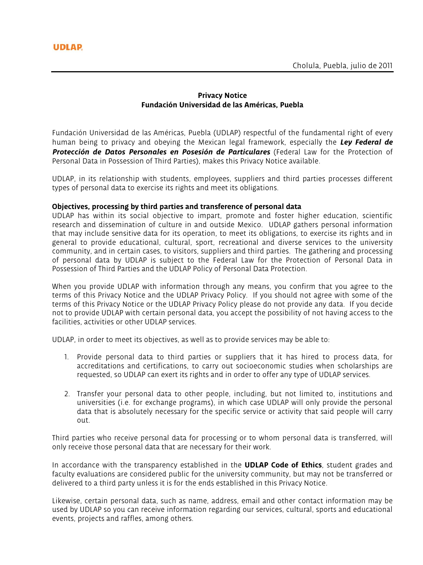# **Privacy Notice Fundación Universidad de las Américas, Puebla**

Fundación Universidad de las Américas, Puebla (UDLAP) respectful of the fundamental right of every human being to privacy and obeying the Mexican legal framework, especially the *Ley Federal de Protección de Datos Personales en Posesión de Particulares* (Federal Law for the Protection of Personal Data in Possession of Third Parties), makes this Privacy Notice available.

UDLAP, in its relationship with students, employees, suppliers and third parties processes different types of personal data to exercise its rights and meet its obligations.

## **Objectives, processing by third parties and transference of personal data**

UDLAP has within its social objective to impart, promote and foster higher education, scientific research and dissemination of culture in and outside Mexico. UDLAP gathers personal information that may include sensitive data for its operation, to meet its obligations, to exercise its rights and in general to provide educational, cultural, sport, recreational and diverse services to the university community, and in certain cases, to visitors, suppliers and third parties. The gathering and processing of personal data by UDLAP is subject to the Federal Law for the Protection of Personal Data in Possession of Third Parties and the UDLAP Policy of Personal Data Protection.

When you provide UDLAP with information through any means, you confirm that you agree to the terms of this Privacy Notice and the UDLAP Privacy Policy. If you should not agree with some of the terms of this Privacy Notice or the UDLAP Privacy Policy please do not provide any data. If you decide not to provide UDLAP with certain personal data, you accept the possibility of not having access to the facilities, activities or other UDLAP services.

UDLAP, in order to meet its objectives, as well as to provide services may be able to:

- 1. Provide personal data to third parties or suppliers that it has hired to process data, for accreditations and certifications, to carry out socioeconomic studies when scholarships are requested, so UDLAP can exert its rights and in order to offer any type of UDLAP services.
- 2. Transfer your personal data to other people, including, but not limited to, institutions and universities (i.e. for exchange programs), in which case UDLAP will only provide the personal data that is absolutely necessary for the specific service or activity that said people will carry out.

Third parties who receive personal data for processing or to whom personal data is transferred, will only receive those personal data that are necessary for their work.

In accordance with the transparency established in the **UDLAP Code of Ethics**, student grades and faculty evaluations are considered public for the university community, but may not be transferred or delivered to a third party unless it is for the ends established in this Privacy Notice.

Likewise, certain personal data, such as name, address, email and other contact information may be used by UDLAP so you can receive information regarding our services, cultural, sports and educational events, projects and raffles, among others.